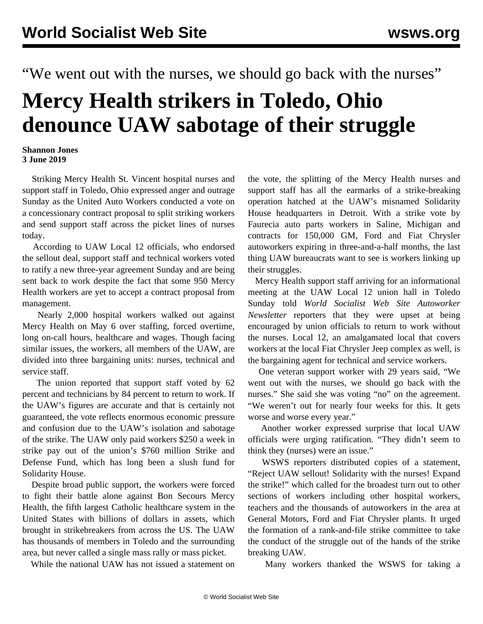"We went out with the nurses, we should go back with the nurses"

## **Mercy Health strikers in Toledo, Ohio denounce UAW sabotage of their struggle**

## **Shannon Jones 3 June 2019**

 Striking Mercy Health St. Vincent hospital nurses and support staff in Toledo, Ohio expressed anger and outrage Sunday as the United Auto Workers conducted a vote on a concessionary contract proposal to split striking workers and send support staff across the picket lines of nurses today.

 According to UAW Local 12 officials, who endorsed the sellout deal, support staff and technical workers voted to ratify a new three-year agreement Sunday and are being sent back to work despite the fact that some 950 Mercy Health workers are yet to accept a contract proposal from management.

 Nearly 2,000 hospital workers walked out against Mercy Health on May 6 over staffing, forced overtime, long on-call hours, healthcare and wages. Though facing similar issues, the workers, all members of the UAW, are divided into three bargaining units: nurses, technical and service staff.

 The union reported that support staff voted by 62 percent and technicians by 84 percent to return to work. If the UAW's figures are accurate and that is certainly not guaranteed, the vote reflects enormous economic pressure and confusion due to the UAW's isolation and sabotage of the strike. The UAW only paid workers \$250 a week in strike pay out of the union's \$760 million Strike and Defense Fund, which has long been a slush fund for Solidarity House.

 Despite broad public support, the workers were forced to fight their battle alone against Bon Secours Mercy Health, the fifth largest Catholic healthcare system in the United States with billions of dollars in assets, which brought in strikebreakers from across the US. The UAW has thousands of members in Toledo and the surrounding area, but never called a single mass rally or mass picket.

While the national UAW has not issued a statement on

the vote, the splitting of the Mercy Health nurses and support staff has all the earmarks of a strike-breaking operation hatched at the UAW's misnamed Solidarity House headquarters in Detroit. With a strike vote by Faurecia auto parts workers in Saline, Michigan and contracts for 150,000 GM, Ford and Fiat Chrysler autoworkers expiring in three-and-a-half months, the last thing UAW bureaucrats want to see is workers linking up their struggles.

 Mercy Health support staff arriving for an informational meeting at the UAW Local 12 union hall in Toledo Sunday told *World Socialist Web Site Autoworker Newsletter* reporters that they were upset at being encouraged by union officials to return to work without the nurses. Local 12, an amalgamated local that covers workers at the local Fiat Chrysler Jeep complex as well, is the bargaining agent for technical and service workers.

 One veteran support worker with 29 years said, "We went out with the nurses, we should go back with the nurses." She said she was voting "no" on the agreement. "We weren't out for nearly four weeks for this. It gets worse and worse every year."

 Another worker expressed surprise that local UAW officials were urging ratification. "They didn't seem to think they (nurses) were an issue."

 WSWS reporters distributed copies of a statement, "Reject UAW sellout! Solidarity with the nurses! Expand the strike!" which called for the broadest turn out to other sections of workers including other hospital workers, teachers and the thousands of autoworkers in the area at General Motors, Ford and Fiat Chrysler plants. It urged the formation of a rank-and-file strike committee to take the conduct of the struggle out of the hands of the strike breaking UAW.

Many workers thanked the WSWS for taking a